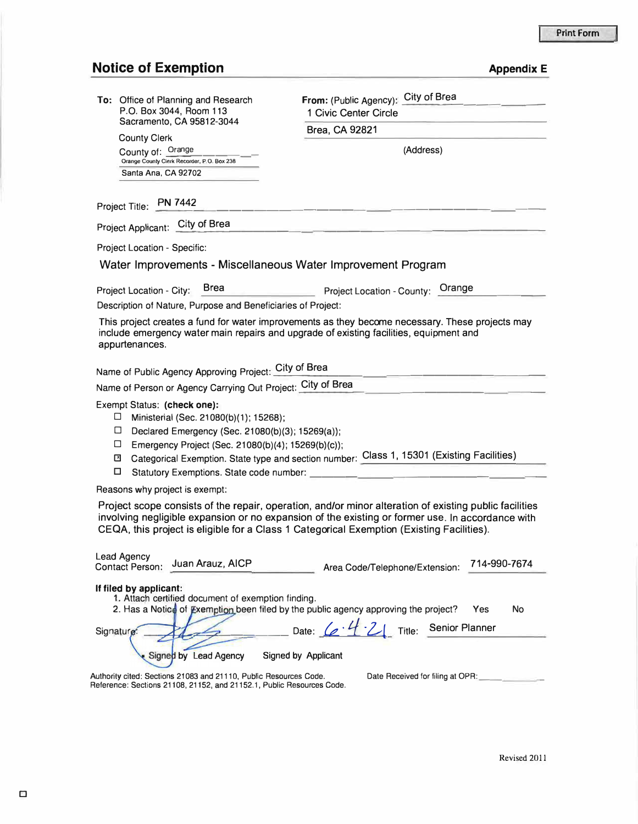## **Notice of Exemption** *Appendix E*

| To: Office of Planning and Research<br>P.O. Box 3044, Room 113<br>Sacramento, CA 95812-3044<br><b>County Clerk</b><br>County of: Orange<br>Orange County Clerk Recorder, P.O. Box 238<br>Santa Ana, CA 92702                                                                                            | City of Brea<br>From: (Public Agency):<br>1 Civic Center Circle                                                                                                                                     |
|---------------------------------------------------------------------------------------------------------------------------------------------------------------------------------------------------------------------------------------------------------------------------------------------------------|-----------------------------------------------------------------------------------------------------------------------------------------------------------------------------------------------------|
|                                                                                                                                                                                                                                                                                                         | Brea, CA 92821                                                                                                                                                                                      |
|                                                                                                                                                                                                                                                                                                         | (Address)                                                                                                                                                                                           |
| Project Title: PN 7442                                                                                                                                                                                                                                                                                  |                                                                                                                                                                                                     |
| Project Applicant: City of Brea                                                                                                                                                                                                                                                                         |                                                                                                                                                                                                     |
| Project Location - Specific:                                                                                                                                                                                                                                                                            |                                                                                                                                                                                                     |
| Water Improvements - Miscellaneous Water Improvement Program                                                                                                                                                                                                                                            |                                                                                                                                                                                                     |
| <b>Brea</b><br>Project Location - City:<br>Description of Nature, Purpose and Beneficiaries of Project:                                                                                                                                                                                                 | Project Location - County: Orange                                                                                                                                                                   |
| This project creates a fund for water improvements as they become necessary. These projects may<br>include emergency water main repairs and upgrade of existing facilities, equipment and<br>appurtenances.                                                                                             |                                                                                                                                                                                                     |
| Name of Public Agency Approving Project: City of Brea                                                                                                                                                                                                                                                   |                                                                                                                                                                                                     |
| Name of Person or Agency Carrying Out Project: City of Brea                                                                                                                                                                                                                                             |                                                                                                                                                                                                     |
| Exempt Status: (check one):<br>$\Box$<br>Ministerial (Sec. 21080(b)(1); 15268);<br>$\Box$<br>Declared Emergency (Sec. 21080(b)(3); 15269(a));<br>$\Box$<br>Emergency Project (Sec. 21080(b)(4); 15269(b)(c));<br>⊡<br>□<br>Statutory Exemptions. State code number:                                     | Categorical Exemption. State type and section number: Class 1, 15301 (Existing Facilities)                                                                                                          |
| Reasons why project is exempt:                                                                                                                                                                                                                                                                          |                                                                                                                                                                                                     |
| Project scope consists of the repair, operation, and/or minor alteration of existing public facilities<br>involving negligible expansion or no expansion of the existing or former use. In accordance with<br>CEQA, this project is eligible for a Class 1 Categorical Exemption (Existing Facilities). |                                                                                                                                                                                                     |
| <b>Lead Agency</b><br>Juan Arauz, AICP<br><b>Contact Person:</b>                                                                                                                                                                                                                                        | 714-990-7674<br>Area Code/Telephone/Extension:                                                                                                                                                      |
| If filed by applicant:<br>1. Attach certified document of exemption finding.<br>Signature<br><b>Lead Agency</b><br>Authority cited: Sections 21083 and 21110, Public Resources Code.<br>Reference: Sections 21108, 21152, and 21152.1, Public Resources Code.                                           | 2. Has a Notice of Exemption been filed by the public agency approving the project?<br>No<br>Yes<br>Date: (e 4 - 2 Title: Senior Planner<br>Signed by Applicant<br>Date Received for filing at OPR: |